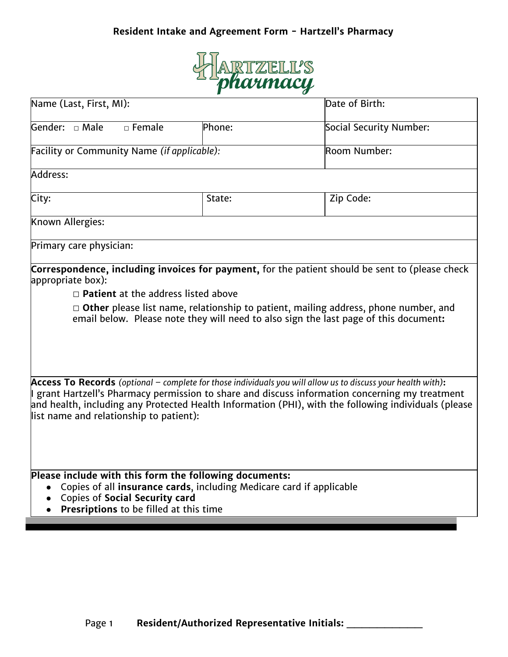## **Resident Intake and Agreement Form - Hartzell's Pharmacy**



| Name (Last, First, MI):                                                                                                                                                                                           |        | Date of Birth:                                                                                                                                                                                                                                                                                                            |
|-------------------------------------------------------------------------------------------------------------------------------------------------------------------------------------------------------------------|--------|---------------------------------------------------------------------------------------------------------------------------------------------------------------------------------------------------------------------------------------------------------------------------------------------------------------------------|
| Gender: $\Box$ Male<br>$\Box$ Female                                                                                                                                                                              | Phone: | Social Security Number:                                                                                                                                                                                                                                                                                                   |
| Facility or Community Name (if applicable):                                                                                                                                                                       |        | Room Number:                                                                                                                                                                                                                                                                                                              |
| Address:                                                                                                                                                                                                          |        |                                                                                                                                                                                                                                                                                                                           |
| City:                                                                                                                                                                                                             | State: | Zip Code:                                                                                                                                                                                                                                                                                                                 |
| Known Allergies:                                                                                                                                                                                                  |        |                                                                                                                                                                                                                                                                                                                           |
| Primary care physician:                                                                                                                                                                                           |        |                                                                                                                                                                                                                                                                                                                           |
| $\Box$ Patient at the address listed above                                                                                                                                                                        |        | $\Box$ Other please list name, relationship to patient, mailing address, phone number, and<br>email below. Please note they will need to also sign the last page of this document:                                                                                                                                        |
| list name and relationship to patient):                                                                                                                                                                           |        | Access To Records (optional $-$ complete for those individuals you will allow us to discuss your health with):<br>I grant Hartzell's Pharmacy permission to share and discuss information concerning my treatment<br>and health, including any Protected Health Information (PHI), with the following individuals (please |
| Please include with this form the following documents:<br>Copies of all insurance cards, including Medicare card if applicable<br><b>Copies of Social Security card</b><br>Presriptions to be filled at this time |        |                                                                                                                                                                                                                                                                                                                           |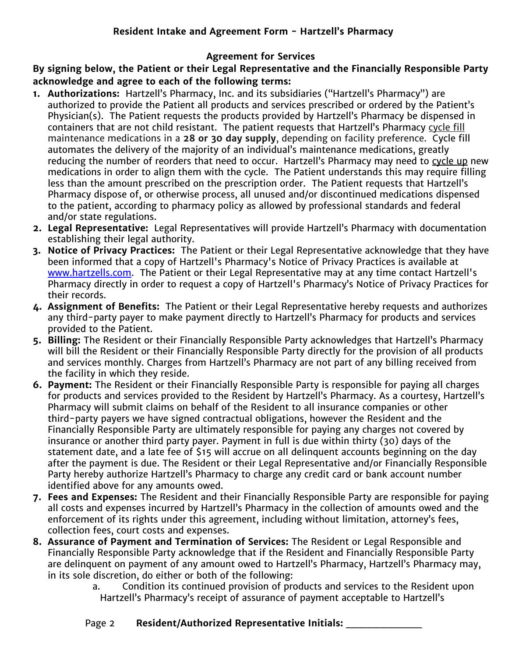## **Agreement for Services**

**By signing below, the Patient or their Legal Representative and the Financially Responsible Party acknowledge and agree to each of the following terms:**

- **1. Authorizations:** Hartzell's Pharmacy, Inc. and its subsidiaries ("Hartzell's Pharmacy") are authorized to provide the Patient all products and services prescribed or ordered by the Patient's Physician(s). The Patient requests the products provided by Hartzell's Pharmacy be dispensed in containers that are not child resistant. The patient requests that Hartzell's Pharmacy cycle fill maintenance medications in a **28 or 30 day supply**, depending on facility preference. Cycle fill automates the delivery of the majority of an individual's maintenance medications, greatly reducing the number of reorders that need to occur. Hartzell's Pharmacy may need to cycle up new medications in order to align them with the cycle. The Patient understands this may require filling less than the amount prescribed on the prescription order. The Patient requests that Hartzell's Pharmacy dispose of, or otherwise process, all unused and/or discontinued medications dispensed to the patient, according to pharmacy policy as allowed by professional standards and federal and/or state regulations.
- **2. Legal Representative:** Legal Representatives will provide Hartzell's Pharmacy with documentation establishing their legal authority.
- **3. Notice of Privacy Practices:** The Patient or their Legal Representative acknowledge that they have been informed that a copy of Hartzell's Pharmacy's Notice of Privacy Practices is available at [www.hartzells.com](http://www.hartzells.com/). The Patient or their Legal Representative may at any time contact Hartzell's Pharmacy directly in order to request a copy of Hartzell's Pharmacy's Notice of Privacy Practices for their records.
- **4. Assignment of Benefits:** The Patient or their Legal Representative hereby requests and authorizes any third-party payer to make payment directly to Hartzell's Pharmacy for products and services provided to the Patient.
- **5. Billing:** The Resident or their Financially Responsible Party acknowledges that Hartzell's Pharmacy will bill the Resident or their Financially Responsible Party directly for the provision of all products and services monthly. Charges from Hartzell's Pharmacy are not part of any billing received from the facility in which they reside.
- **6. Payment:** The Resident or their Financially Responsible Party is responsible for paying all charges for products and services provided to the Resident by Hartzell's Pharmacy. As a courtesy, Hartzell's Pharmacy will submit claims on behalf of the Resident to all insurance companies or other third-party payers we have signed contractual obligations, however the Resident and the Financially Responsible Party are ultimately responsible for paying any charges not covered by insurance or another third party payer. Payment in full is due within thirty (30) days of the statement date, and a late fee of \$15 will accrue on all delinquent accounts beginning on the day after the payment is due. The Resident or their Legal Representative and/or Financially Responsible Party hereby authorize Hartzell's Pharmacy to charge any credit card or bank account number identified above for any amounts owed.
- **7. Fees and Expenses:** The Resident and their Financially Responsible Party are responsible for paying all costs and expenses incurred by Hartzell's Pharmacy in the collection of amounts owed and the enforcement of its rights under this agreement, including without limitation, attorney's fees, collection fees, court costs and expenses.
- **8. Assurance of Payment and Termination of Services:** The Resident or Legal Responsible and Financially Responsible Party acknowledge that if the Resident and Financially Responsible Party are delinquent on payment of any amount owed to Hartzell's Pharmacy, Hartzell's Pharmacy may, in its sole discretion, do either or both of the following:
	- a. Condition its continued provision of products and services to the Resident upon Hartzell's Pharmacy's receipt of assurance of payment acceptable to Hartzell's